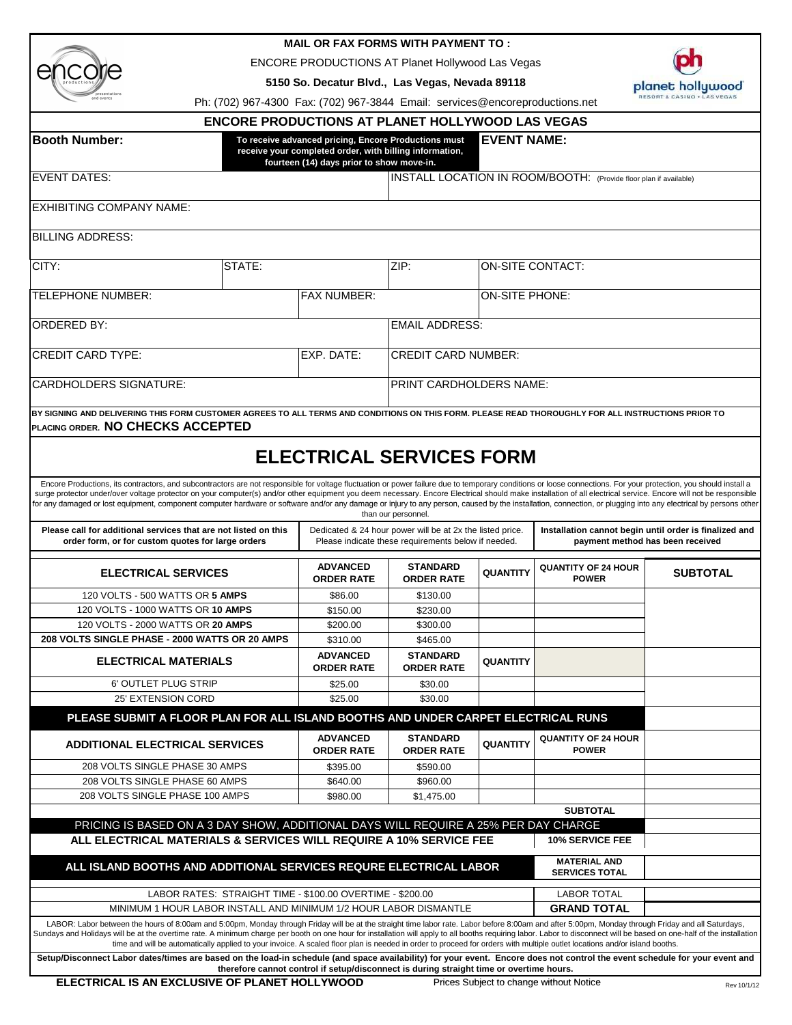| productions                 |
|-----------------------------|
| presentations<br>and events |

## **MAIL OR FAX FORMS WITH PAYMENT TO :**

ENCORE PRODUCTIONS AT Planet Hollywood Las Vegas

**5150 So. Decatur Blvd., Las Vegas, Nevada 89118**



Ph: (702) 967-4300 Fax: (702) 967-3844 Email: services@encoreproductions.net

|                                                                                                                                                                                                                                                                                                                                                                                                                                                                                                                                                                                                                                                        | <b>ENCORE PRODUCTIONS AT PLANET HOLLYWOOD LAS VEGAS</b>                                                                                                      |                                                                                                                  |                    |                                                                                            |                 |  |
|--------------------------------------------------------------------------------------------------------------------------------------------------------------------------------------------------------------------------------------------------------------------------------------------------------------------------------------------------------------------------------------------------------------------------------------------------------------------------------------------------------------------------------------------------------------------------------------------------------------------------------------------------------|--------------------------------------------------------------------------------------------------------------------------------------------------------------|------------------------------------------------------------------------------------------------------------------|--------------------|--------------------------------------------------------------------------------------------|-----------------|--|
| <b>Booth Number:</b>                                                                                                                                                                                                                                                                                                                                                                                                                                                                                                                                                                                                                                   | To receive advanced pricing, Encore Productions must<br>receive your completed order, with billing information,<br>fourteen (14) days prior to show move-in. |                                                                                                                  | <b>EVENT NAME:</b> |                                                                                            |                 |  |
| <b>EVENT DATES:</b>                                                                                                                                                                                                                                                                                                                                                                                                                                                                                                                                                                                                                                    | INSTALL LOCATION IN ROOM/BOOTH: (Provide floor plan if available)                                                                                            |                                                                                                                  |                    |                                                                                            |                 |  |
| <b>EXHIBITING COMPANY NAME:</b>                                                                                                                                                                                                                                                                                                                                                                                                                                                                                                                                                                                                                        |                                                                                                                                                              |                                                                                                                  |                    |                                                                                            |                 |  |
| <b>BILLING ADDRESS:</b>                                                                                                                                                                                                                                                                                                                                                                                                                                                                                                                                                                                                                                |                                                                                                                                                              |                                                                                                                  |                    |                                                                                            |                 |  |
| CITY:<br>STATE:                                                                                                                                                                                                                                                                                                                                                                                                                                                                                                                                                                                                                                        |                                                                                                                                                              |                                                                                                                  |                    | <b>ON-SITE CONTACT:</b>                                                                    |                 |  |
|                                                                                                                                                                                                                                                                                                                                                                                                                                                                                                                                                                                                                                                        |                                                                                                                                                              |                                                                                                                  |                    |                                                                                            |                 |  |
| <b>TELEPHONE NUMBER:</b><br><b>FAX NUMBER:</b>                                                                                                                                                                                                                                                                                                                                                                                                                                                                                                                                                                                                         |                                                                                                                                                              | <b>ON-SITE PHONE:</b>                                                                                            |                    |                                                                                            |                 |  |
| <b>ORDERED BY:</b>                                                                                                                                                                                                                                                                                                                                                                                                                                                                                                                                                                                                                                     |                                                                                                                                                              | <b>EMAIL ADDRESS:</b>                                                                                            |                    |                                                                                            |                 |  |
| <b>CREDIT CARD TYPE:</b><br>EXP. DATE:                                                                                                                                                                                                                                                                                                                                                                                                                                                                                                                                                                                                                 |                                                                                                                                                              | <b>CREDIT CARD NUMBER:</b>                                                                                       |                    |                                                                                            |                 |  |
| <b>CARDHOLDERS SIGNATURE:</b>                                                                                                                                                                                                                                                                                                                                                                                                                                                                                                                                                                                                                          |                                                                                                                                                              | PRINT CARDHOLDERS NAME:                                                                                          |                    |                                                                                            |                 |  |
| BY SIGNING AND DELIVERING THIS FORM CUSTOMER AGREES TO ALL TERMS AND CONDITIONS ON THIS FORM. PLEASE READ THOROUGHLY FOR ALL INSTRUCTIONS PRIOR TO<br>Iplacing order. NO CHECKS ACCEPTED                                                                                                                                                                                                                                                                                                                                                                                                                                                               |                                                                                                                                                              |                                                                                                                  |                    |                                                                                            |                 |  |
|                                                                                                                                                                                                                                                                                                                                                                                                                                                                                                                                                                                                                                                        | <b>ELECTRICAL SERVICES FORM</b>                                                                                                                              |                                                                                                                  |                    |                                                                                            |                 |  |
|                                                                                                                                                                                                                                                                                                                                                                                                                                                                                                                                                                                                                                                        |                                                                                                                                                              |                                                                                                                  |                    |                                                                                            |                 |  |
| Encore Productions, its contractors, and subcontractors are not responsible for voltage fluctuation or power failure due to temporary conditions or loose connections. For your protection, you should install a<br>surge protector under/over voltage protector on your computer(s) and/or other equipment you deem necessary. Encore Electrical should make installation of all electrical service. Encore will not be responsible<br>for any damaged or lost equipment, component computer hardware or software and/or any damage or injury to any person, caused by the installation, connection, or plugging into any electrical by persons other |                                                                                                                                                              | than our personnel.                                                                                              |                    |                                                                                            |                 |  |
| Please call for additional services that are not listed on this<br>order form, or for custom quotes for large orders                                                                                                                                                                                                                                                                                                                                                                                                                                                                                                                                   |                                                                                                                                                              | Dedicated & 24 hour power will be at 2x the listed price.<br>Please indicate these requirements below if needed. |                    | Installation cannot begin until order is finalized and<br>payment method has been received |                 |  |
| <b>ELECTRICAL SERVICES</b>                                                                                                                                                                                                                                                                                                                                                                                                                                                                                                                                                                                                                             | <b>ADVANCED</b><br><b>ORDER RATE</b>                                                                                                                         | <b>STANDARD</b><br><b>ORDER RATE</b>                                                                             | <b>QUANTITY</b>    | <b>QUANTITY OF 24 HOUR</b><br><b>POWER</b>                                                 | <b>SUBTOTAL</b> |  |
| 120 VOLTS - 500 WATTS OR 5 AMPS                                                                                                                                                                                                                                                                                                                                                                                                                                                                                                                                                                                                                        | \$86.00                                                                                                                                                      | \$130.00                                                                                                         |                    |                                                                                            |                 |  |
| 120 VOLTS - 1000 WATTS OR 10 AMPS                                                                                                                                                                                                                                                                                                                                                                                                                                                                                                                                                                                                                      | \$150.00                                                                                                                                                     | \$230.00                                                                                                         |                    |                                                                                            |                 |  |
| 120 VOLTS - 2000 WATTS OR 20 AMPS                                                                                                                                                                                                                                                                                                                                                                                                                                                                                                                                                                                                                      | \$200.00                                                                                                                                                     | \$300.00                                                                                                         |                    |                                                                                            |                 |  |
| 208 VOLTS SINGLE PHASE - 2000 WATTS OR 20 AMPS                                                                                                                                                                                                                                                                                                                                                                                                                                                                                                                                                                                                         | \$310.00                                                                                                                                                     | \$465.00                                                                                                         |                    |                                                                                            |                 |  |
| <b>ELECTRICAL MATERIALS</b>                                                                                                                                                                                                                                                                                                                                                                                                                                                                                                                                                                                                                            | <b>ADVANCED</b><br><b>ORDER RATE</b>                                                                                                                         | <b>STANDARD</b><br><b>ORDER RATE</b>                                                                             | <b>QUANTITY</b>    |                                                                                            |                 |  |
| 6' OUTLET PLUG STRIP<br>25' EXTENSION CORD                                                                                                                                                                                                                                                                                                                                                                                                                                                                                                                                                                                                             | \$25.00                                                                                                                                                      | \$30.00                                                                                                          |                    |                                                                                            |                 |  |
| PLEASE SUBMIT A FLOOR PLAN FOR ALL ISLAND BOOTHS AND UNDER CARPET ELECTRICAL RUNS                                                                                                                                                                                                                                                                                                                                                                                                                                                                                                                                                                      | \$25.00                                                                                                                                                      | \$30.00                                                                                                          |                    |                                                                                            |                 |  |
| <b>ADDITIONAL ELECTRICAL SERVICES</b>                                                                                                                                                                                                                                                                                                                                                                                                                                                                                                                                                                                                                  | <b>ADVANCED</b><br><b>ORDER RATE</b>                                                                                                                         | <b>STANDARD</b><br><b>ORDER RATE</b>                                                                             | <b>QUANTITY</b>    | <b>QUANTITY OF 24 HOUR</b><br><b>POWER</b>                                                 |                 |  |
| 208 VOLTS SINGLE PHASE 30 AMPS                                                                                                                                                                                                                                                                                                                                                                                                                                                                                                                                                                                                                         | \$395.00                                                                                                                                                     | \$590.00                                                                                                         |                    |                                                                                            |                 |  |
| 208 VOLTS SINGLE PHASE 60 AMPS                                                                                                                                                                                                                                                                                                                                                                                                                                                                                                                                                                                                                         | \$640.00                                                                                                                                                     | \$960.00                                                                                                         |                    |                                                                                            |                 |  |
| 208 VOLTS SINGLE PHASE 100 AMPS                                                                                                                                                                                                                                                                                                                                                                                                                                                                                                                                                                                                                        | \$980.00                                                                                                                                                     | \$1,475.00                                                                                                       |                    |                                                                                            |                 |  |
|                                                                                                                                                                                                                                                                                                                                                                                                                                                                                                                                                                                                                                                        |                                                                                                                                                              |                                                                                                                  |                    | <b>SUBTOTAL</b>                                                                            |                 |  |
| PRICING IS BASED ON A 3 DAY SHOW, ADDITIONAL DAYS WILL REQUIRE A 25% PER DAY CHARGE<br>ALL ELECTRICAL MATERIALS & SERVICES WILL REQUIRE A 10% SERVICE FEE                                                                                                                                                                                                                                                                                                                                                                                                                                                                                              |                                                                                                                                                              |                                                                                                                  |                    | <b>10% SERVICE FEE</b>                                                                     |                 |  |
| ALL ISLAND BOOTHS AND ADDITIONAL SERVICES REQURE ELECTRICAL LABOR                                                                                                                                                                                                                                                                                                                                                                                                                                                                                                                                                                                      |                                                                                                                                                              |                                                                                                                  |                    | <b>MATERIAL AND</b><br><b>SERVICES TOTAL</b>                                               |                 |  |
|                                                                                                                                                                                                                                                                                                                                                                                                                                                                                                                                                                                                                                                        |                                                                                                                                                              |                                                                                                                  |                    |                                                                                            |                 |  |
| LABOR RATES: STRAIGHT TIME - \$100.00 OVERTIME - \$200.00<br>MINIMUM 1 HOUR LABOR INSTALL AND MINIMUM 1/2 HOUR LABOR DISMANTLE                                                                                                                                                                                                                                                                                                                                                                                                                                                                                                                         |                                                                                                                                                              |                                                                                                                  |                    | <b>LABOR TOTAL</b><br><b>GRAND TOTAL</b>                                                   |                 |  |
|                                                                                                                                                                                                                                                                                                                                                                                                                                                                                                                                                                                                                                                        |                                                                                                                                                              |                                                                                                                  |                    |                                                                                            |                 |  |

Sundays and Holidays will be at the overtime rate. A minimum charge per booth on one hour for installation will apply to all booths requiring labor. Labor to disconnect will be based on one-half of the installation<br>time an **Setup/Disconnect Labor dates/times are based on the load-in schedule (and space availability) for your event. Encore does not control the event schedule for your event and**